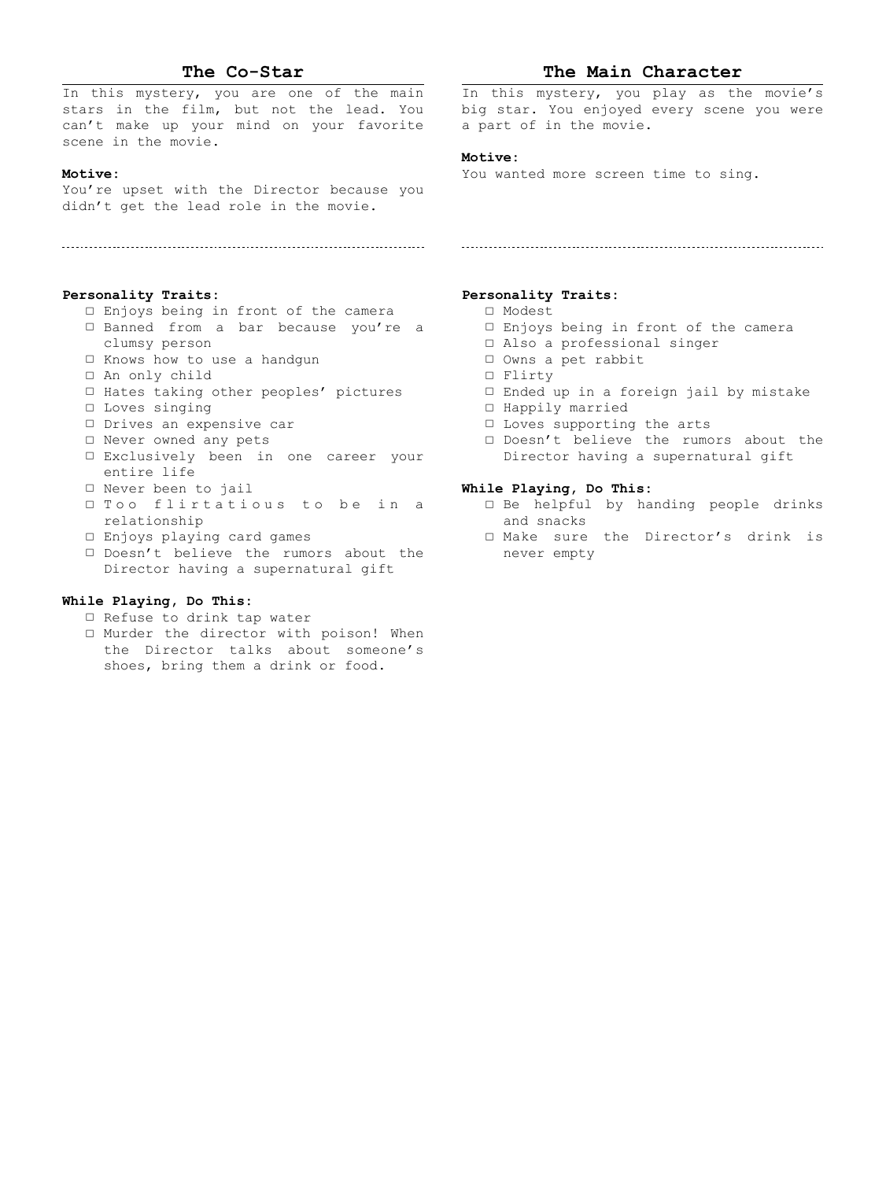# **The Co-Star**

In this mystery, you are one of the main stars in the film, but not the lead. You can't make up your mind on your favorite scene in the movie.

# **Motive:**

You're upset with the Director because you didn't get the lead role in the movie.

#### **Personality Traits:**

- □ Enjoys being in front of the camera
- □ Banned from a bar because you're a clumsy person
- □ Knows how to use a handgun
- □ An only child
- □ Hates taking other peoples' pictures
- □ Loves singing
- □ Drives an expensive car
- □ Never owned any pets
- □ Exclusively been in one career your entire life
- □ Never been to jail
- □ Too flirtatious to be in a relationship
- □ Enjoys playing card games
- □ Doesn't believe the rumors about the Director having a supernatural gift

## **While Playing, Do This:**

- □ Refuse to drink tap water
- □ Murder the director with poison! When the Director talks about someone's shoes, bring them a drink or food.

# **The Main Character**

In this mystery, you play as the movie's big star. You enjoyed every scene you were a part of in the movie.

#### **Motive:**

You wanted more screen time to sing.

# **Personality Traits:**

- □ Modest
- □ Enjoys being in front of the camera
- □ Also a professional singer
- □ Owns a pet rabbit
- □ Flirty
- □ Ended up in a foreign jail by mistake
- □ Happily married
- □ Loves supporting the arts
- □ Doesn't believe the rumors about the Director having a supernatural gift

- □ Be helpful by handing people drinks and snacks
- □ Make sure the Director's drink is never empty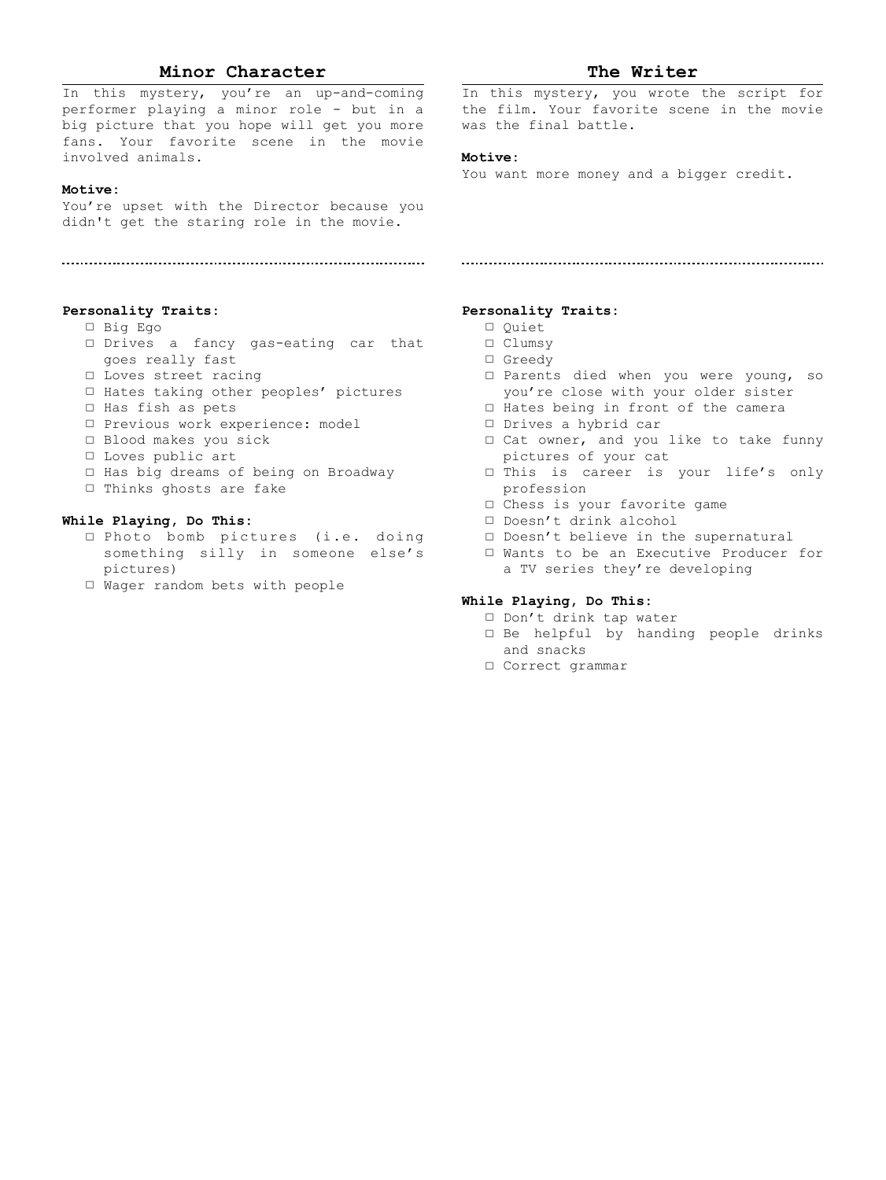# **Minor Character**

In this mystery, you're an up-and-coming performer playing a minor role - but in a big picture that you hope will get you more fans. Your favorite scene in the movie involved animals.

#### **Motive:**

You're upset with the Director because you didn't get the staring role in the movie.

#### **Personality Traits:**

- □ Big Ego
- □ Drives a fancy gas-eating car that goes really fast
- □ Loves street racing
- □ Hates taking other peoples' pictures
- □ Has fish as pets
- □ Previous work experience: model
- □ Blood makes you sick
- □ Loves public art
- □ Has big dreams of being on Broadway
- □ Thinks ghosts are fake

## **While Playing, Do This:**

- □ Photo bomb pictures (i.e. doing something silly in someone else's pictures)
- □ Wager random bets with people

# **The Writer**

In this mystery, you wrote the script for the film. Your favorite scene in the movie was the final battle.

#### **Motive:**

You want more money and a bigger credit.

#### **Personality Traits:**

- □ Quiet
- □ Clumsy
- □ Greedy
- □ Parents died when you were young, so you're close with your older sister
- □ Hates being in front of the camera
- □ Drives a hybrid car
- □ Cat owner, and you like to take funny pictures of your cat
- □ This is career is your life's only profession
- □ Chess is your favorite game
- □ Doesn't drink alcohol
- □ Doesn't believe in the supernatural
- □ Wants to be an Executive Producer for a TV series they're developing

- □ Don't drink tap water
- □ Be helpful by handing people drinks and snacks
- □ Correct grammar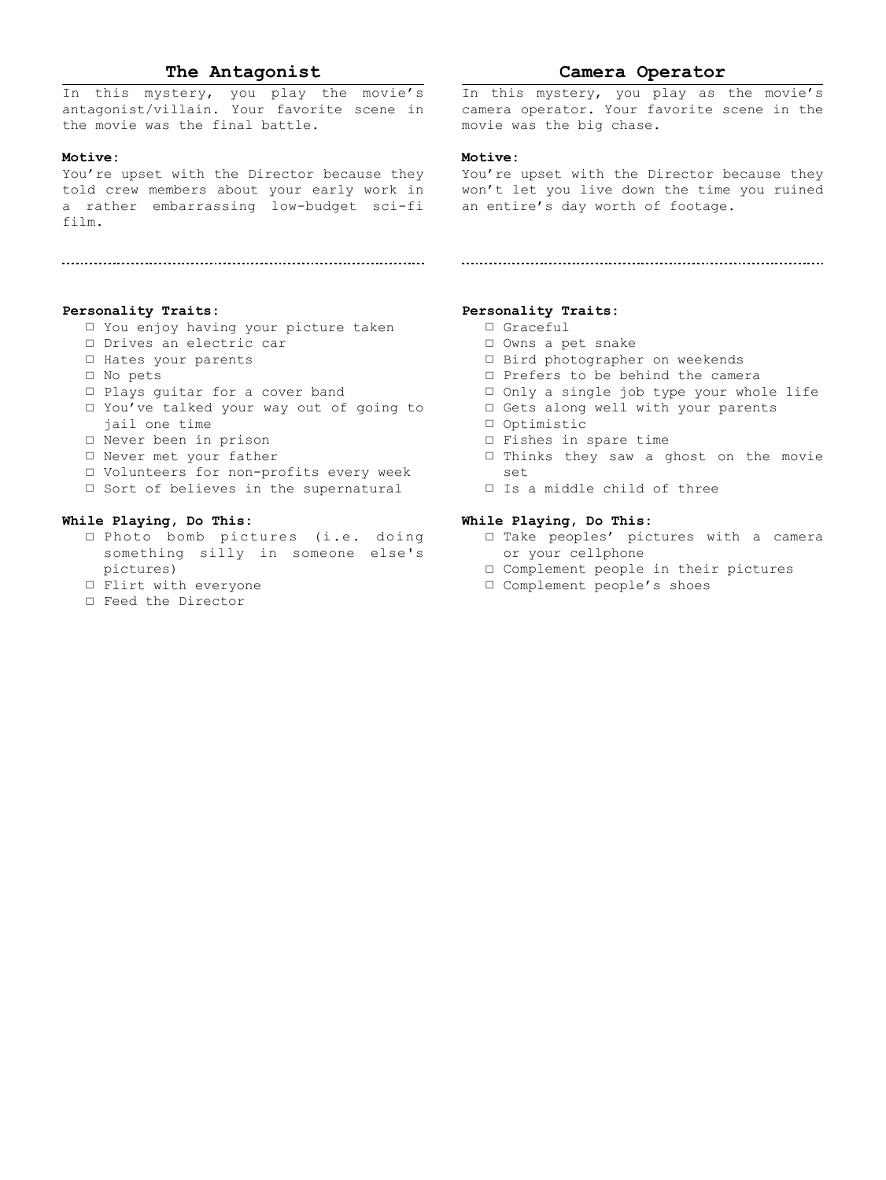# **The Antagonist**

In this mystery, you play the movie's antagonist/villain. Your favorite scene in the movie was the final battle.

#### **Motive:**

You're upset with the Director because they told crew members about your early work in won't let you live down the time you ruined a rather embarrassing low-budget sci-fi an entire's day worth of footage. film.

#### **Personality Traits:**

- □ You enjoy having your picture taken
- □ Drives an electric car
- □ Hates your parents
- □ No pets
- □ Plays guitar for a cover band
- □ You've talked your way out of going to jail one time
- □ Never been in prison
- □ Never met your father
- □ Volunteers for non-profits every week
- □ Sort of believes in the supernatural

## **While Playing, Do This:**

- □ Photo bomb pictures (i.e. doing something silly in someone else's pictures)
- □ Flirt with everyone
- □ Feed the Director

## **Camera Operator**

In this mystery, you play as the movie's camera operator. Your favorite scene in the movie was the big chase.

#### **Motive:**

You're upset with the Director because they

#### **Personality Traits:**

- □ Graceful
- □ Owns a pet snake
- □ Bird photographer on weekends
- □ Prefers to be behind the camera
- □ Only a single job type your whole life
- □ Gets along well with your parents
- □ Optimistic
- □ Fishes in spare time
- □ Thinks they saw a ghost on the movie set
- □ Is a middle child of three

- □ Take peoples' pictures with a camera or your cellphone
	- □ Complement people in their pictures
	- □ Complement people's shoes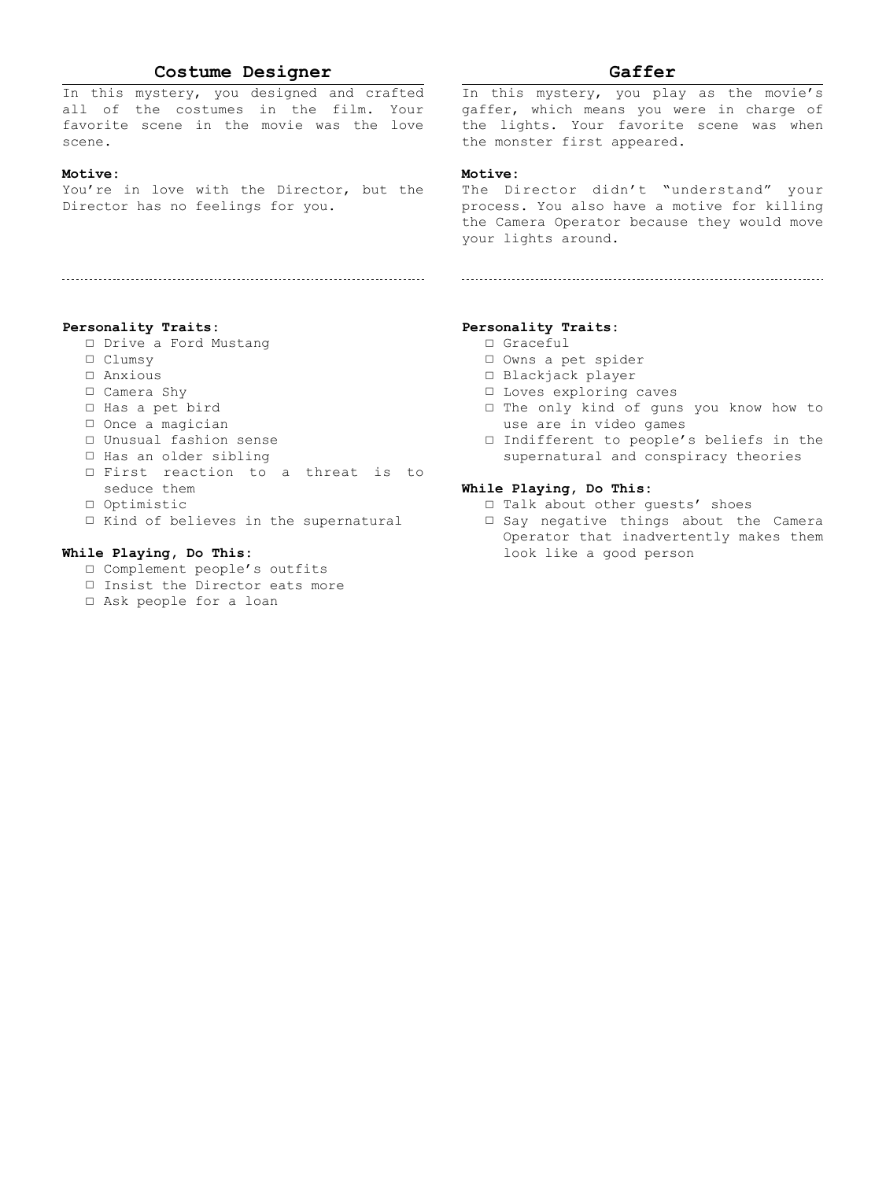# **Costume Designer**

In this mystery, you designed and crafted all of the costumes in the film. Your favorite scene in the movie was the love scene.

## **Motive:**

You're in love with the Director, but the Director has no feelings for you.

#### **Personality Traits:**

- □ Drive a Ford Mustang
- □ Clumsy
- □ Anxious
- □ Camera Shy
- □ Has a pet bird
- □ Once a magician
- □ Unusual fashion sense
- □ Has an older sibling
- □ First reaction to a threat is to seduce them
- □ Optimistic
- □ Kind of believes in the supernatural

#### **While Playing, Do This:**

- □ Complement people's outfits
- □ Insist the Director eats more
- □ Ask people for a loan

# **Gaffer**

In this mystery, you play as the movie's gaffer, which means you were in charge of the lights. Your favorite scene was when the monster first appeared.

# **Motive:**

The Director didn't "understand" your process. You also have a motive for killing the Camera Operator because they would move your lights around.

#### **Personality Traits:**

- □ Graceful
- □ Owns a pet spider
- □ Blackjack player
- □ Loves exploring caves
- □ The only kind of guns you know how to use are in video games
- □ Indifferent to people's beliefs in the supernatural and conspiracy theories

- □ Talk about other guests' shoes
- □ Say negative things about the Camera Operator that inadvertently makes them look like a good person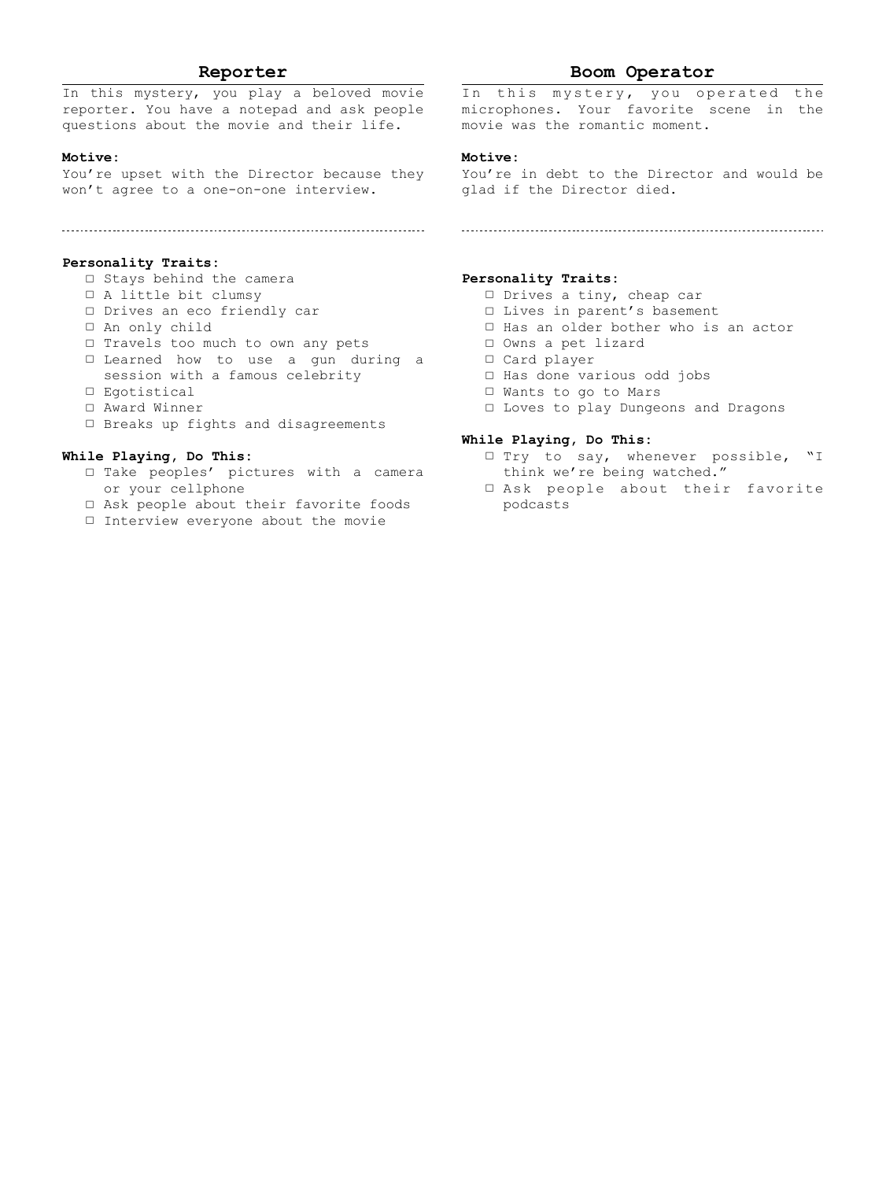# **Reporter**

In this mystery, you play a beloved movie reporter. You have a notepad and ask people questions about the movie and their life.

#### **Motive:**

You're upset with the Director because they won't agree to a one-on-one interview.

#### **Personality Traits:**

- □ Stays behind the camera
- □ A little bit clumsy
- □ Drives an eco friendly car
- □ An only child
- □ Travels too much to own any pets
- □ Learned how to use a gun during a session with a famous celebrity
- □ Egotistical
- □ Award Winner
- □ Breaks up fights and disagreements

## **While Playing, Do This:**

- □ Take peoples' pictures with a camera or your cellphone
- □ Ask people about their favorite foods
- □ Interview everyone about the movie

# **Boom Operator**

In this mystery, you operated the microphones. Your favorite scene in the movie was the romantic moment.

#### **Motive:**

You're in debt to the Director and would be glad if the Director died.

# 

## **Personality Traits:**

- □ Drives a tiny, cheap car
- □ Lives in parent's basement
- □ Has an older bother who is an actor
- □ Owns a pet lizard
- □ Card player
- □ Has done various odd jobs
- □ Wants to go to Mars □ Loves to play Dungeons and Dragons

- □ Try to say, whenever possible, "I think we're being watched."
- □ Ask people about their favorite podcasts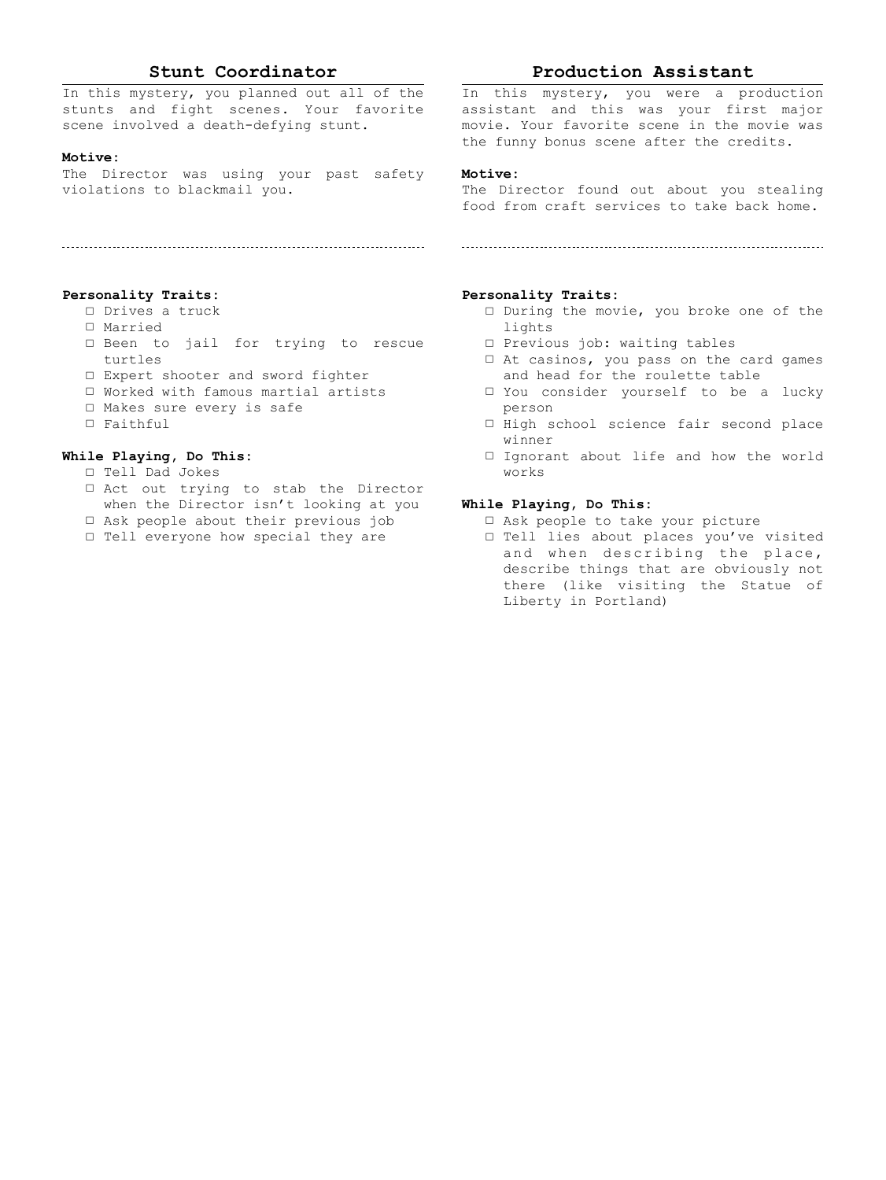# **Stunt Coordinator**

In this mystery, you planned out all of the stunts and fight scenes. Your favorite scene involved a death-defying stunt.

#### **Motive:**

The Director was using your past safety violations to blackmail you.

## **Personality Traits:**

- □ Drives a truck
- □ Married
- □ Been to jail for trying to rescue turtles
- □ Expert shooter and sword fighter
- □ Worked with famous martial artists
- □ Makes sure every is safe
- □ Faithful

# **While Playing, Do This:**

- □ Tell Dad Jokes
- □ Act out trying to stab the Director when the Director isn't looking at you
- □ Ask people about their previous job
- □ Tell everyone how special they are

# **Production Assistant**

In this mystery, you were a production assistant and this was your first major movie. Your favorite scene in the movie was the funny bonus scene after the credits.

# **Motive:**

The Director found out about you stealing food from craft services to take back home.

# **Personality Traits:**

- □ During the movie, you broke one of the lights
- □ Previous job: waiting tables
- □ At casinos, you pass on the card games and head for the roulette table
- □ You consider yourself to be a lucky person
	- □ High school science fair second place winner
	- □ Ignorant about life and how the world works

- □ Ask people to take your picture
- □ Tell lies about places you've visited and when describing the place, describe things that are obviously not there (like visiting the Statue of Liberty in Portland)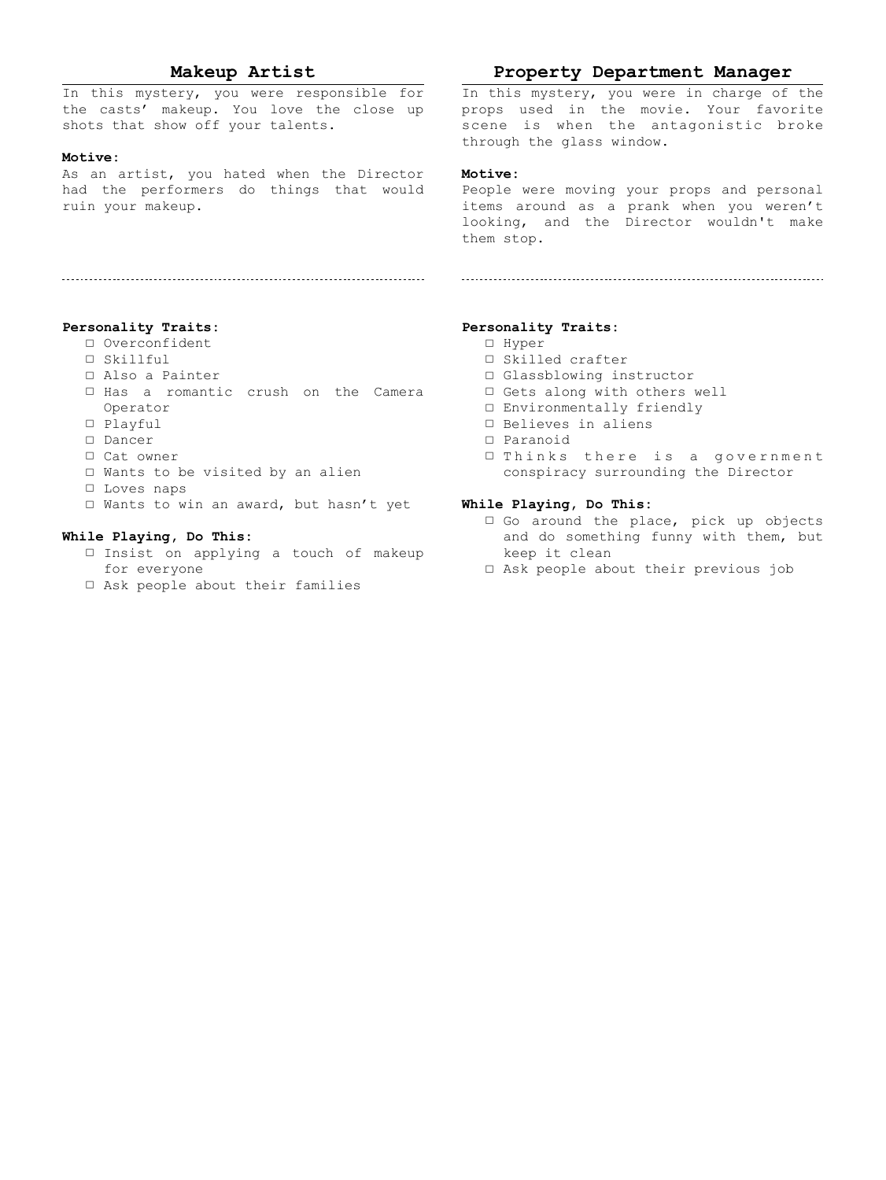# **Makeup Artist**

In this mystery, you were responsible for the casts' makeup. You love the close up shots that show off your talents.

#### **Motive:**

As an artist, you hated when the Director had the performers do things that would ruin your makeup.

#### **Personality Traits:**

- □ Overconfident
- □ Skillful
- □ Also a Painter
- □ Has a romantic crush on the Camera Operator
- □ Playful
- □ Dancer
- □ Cat owner
- □ Wants to be visited by an alien
- □ Loves naps
- □ Wants to win an award, but hasn't yet

# **While Playing, Do This:**

- □ Insist on applying a touch of makeup for everyone
- □ Ask people about their families

# **Property Department Manager**

In this mystery, you were in charge of the props used in the movie. Your favorite scene is when the antagonistic broke through the glass window.

# **Motive:**

People were moving your props and personal items around as a prank when you weren't looking, and the Director wouldn't make them stop.

#### **Personality Traits:**

- □ Hyper
- □ Skilled crafter
- □ Glassblowing instructor
- □ Gets along with others well
- □ Environmentally friendly
- □ Believes in aliens
- □ Paranoid
- □ Thinks there is a government conspiracy surrounding the Director

- □ Go around the place, pick up objects and do something funny with them, but keep it clean
- □ Ask people about their previous job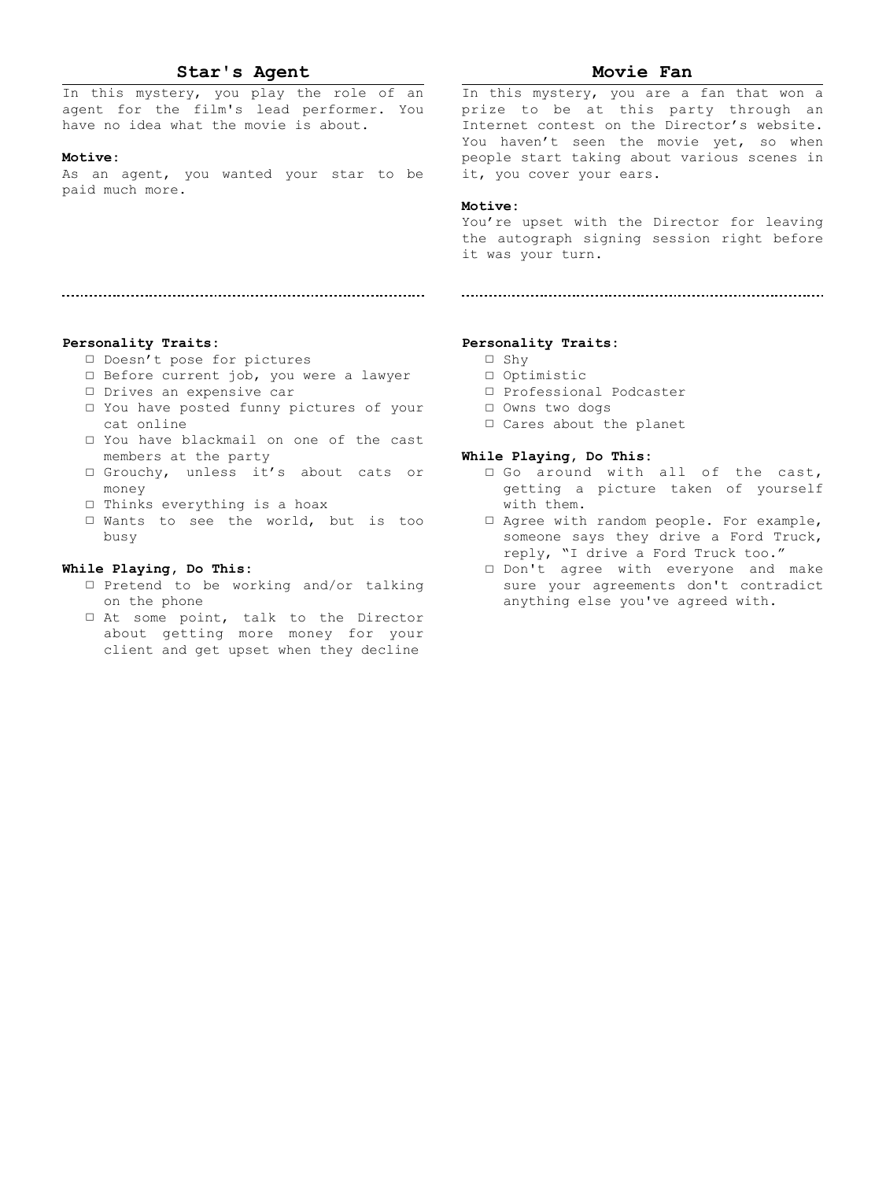# **Star's Agent**

In this mystery, you play the role of an agent for the film's lead performer. You have no idea what the movie is about.

#### **Motive:**

As an agent, you wanted your star to be paid much more.

# **Movie Fan**

In this mystery, you are a fan that won a prize to be at this party through an Internet contest on the Director's website. You haven't seen the movie yet, so when people start taking about various scenes in it, you cover your ears.

## **Motive:**

You're upset with the Director for leaving the autograph signing session right before it was your turn.

# **Personality Traits:**

- □ Doesn't pose for pictures
- □ Before current job, you were a lawyer

- □ Drives an expensive car
- □ You have posted funny pictures of your cat online
- □ You have blackmail on one of the cast members at the party
- □ Grouchy, unless it's about cats or money
- □ Thinks everything is a hoax
- □ Wants to see the world, but is too busy

#### **While Playing, Do This:**

- □ Pretend to be working and/or talking on the phone
- □ At some point, talk to the Director about getting more money for your client and get upset when they decline

#### **Personality Traits:**

- □ Shy
- □ Optimistic
- □ Professional Podcaster
- □ Owns two dogs
- □ Cares about the planet

- □ Go around with all of the cast, getting a picture taken of yourself with them.
- □ Agree with random people. For example, someone says they drive a Ford Truck, reply, "I drive a Ford Truck too."
- □ Don't agree with everyone and make sure your agreements don't contradict anything else you've agreed with.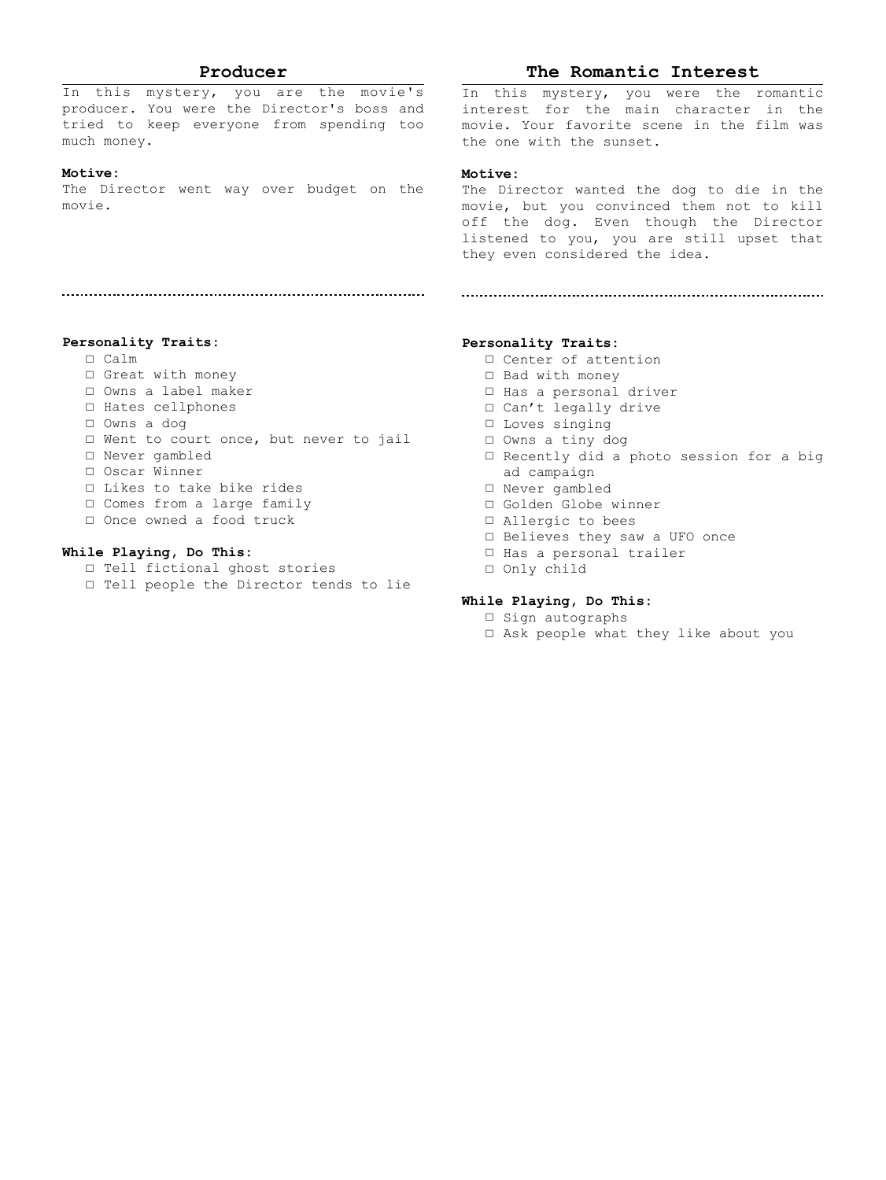## **Producer**

In this mystery, you are the movie's producer. You were the Director's boss and tried to keep everyone from spending too much money.

# **Motive:**

The Director went way over budget on the movie.

## **The Romantic Interest**

In this mystery, you were the romantic interest for the main character in the movie. Your favorite scene in the film was the one with the sunset.

# **Motive:**

The Director wanted the dog to die in the movie, but you convinced them not to kill off the dog. Even though the Director listened to you, you are still upset that they even considered the idea.

**Personality Traits:**

- □ Calm
- □ Great with money
- □ Owns a label maker
- □ Hates cellphones
- □ Owns a dog
- □ Went to court once, but never to jail
- □ Never gambled
- □ Oscar Winner
- □ Likes to take bike rides
- □ Comes from a large family
- □ Once owned a food truck

# **While Playing, Do This:**

- □ Tell fictional ghost stories
- □ Tell people the Director tends to lie

#### **Personality Traits:**

- □ Center of attention
- □ Bad with money
- □ Has a personal driver
- □ Can't legally drive
- □ Loves singing
- □ Owns a tiny dog
- □ Recently did a photo session for a big ad campaign
- □ Never gambled
- □ Golden Globe winner
- □ Allergic to bees
- □ Believes they saw a UFO once
- □ Has a personal trailer
- □ Only child

- □ Sign autographs
- □ Ask people what they like about you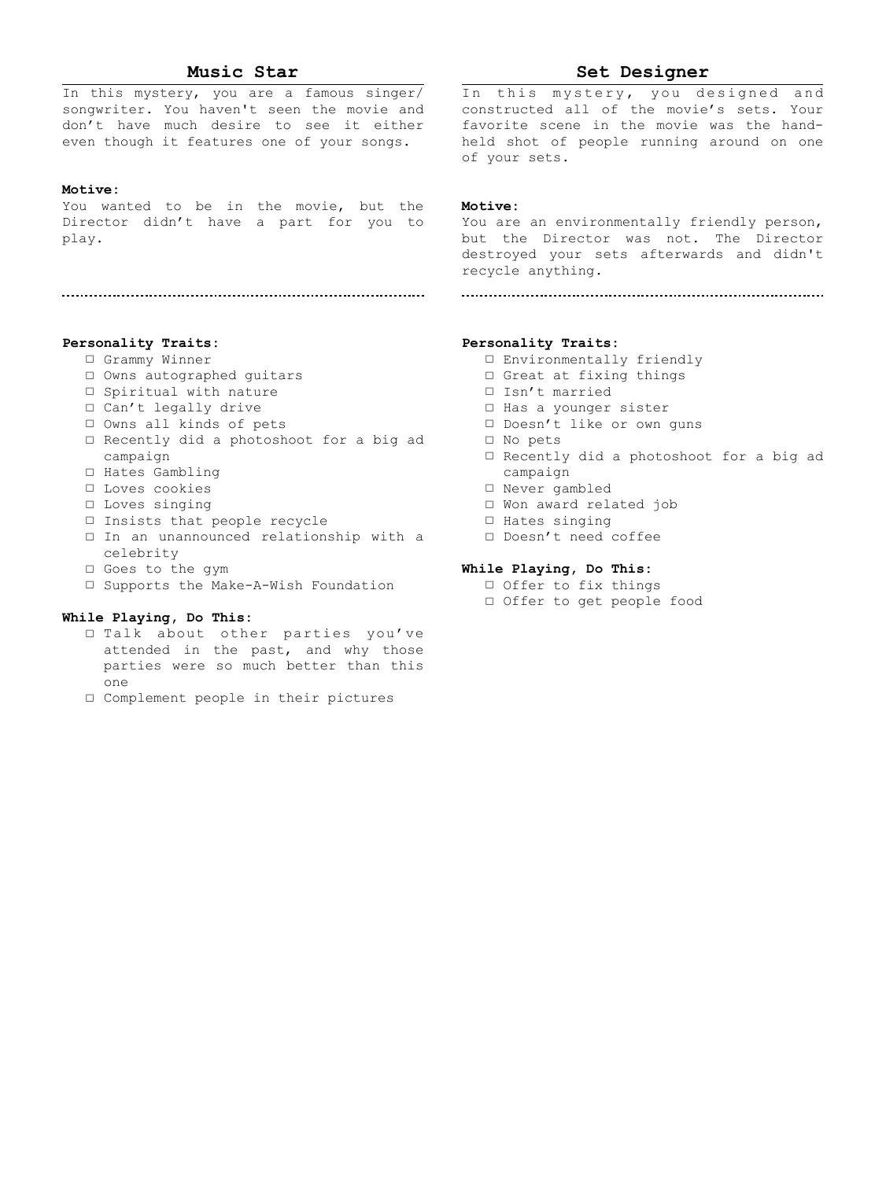# **Music Star**

In this mystery, you are a famous singer/ songwriter. You haven't seen the movie and don't have much desire to see it either even though it features one of your songs.

#### **Motive:**

You wanted to be in the movie, but the Director didn't have a part for you to play.

# **Set Designer**

In this mystery, you designed and constructed all of the movie's sets. Your favorite scene in the movie was the handheld shot of people running around on one of your sets.

#### **Motive:**

You are an environmentally friendly person, but the Director was not. The Director destroyed your sets afterwards and didn't recycle anything.

# **Personality Traits:**

- □ Grammy Winner
- □ Owns autographed guitars
- □ Spiritual with nature
- □ Can't legally drive
- □ Owns all kinds of pets
- □ Recently did a photoshoot for a big ad campaign
- □ Hates Gambling
- □ Loves cookies
- □ Loves singing
- □ Insists that people recycle
- □ In an unannounced relationship with a celebrity
- □ Goes to the gym
- □ Supports the Make-A-Wish Foundation

#### **While Playing, Do This:**

- □ Talk about other parties you've attended in the past, and why those parties were so much better than this one
- □ Complement people in their pictures

## **Personality Traits:**

- □ Environmentally friendly
- □ Great at fixing things
- □ Isn't married
- □ Has a younger sister
- □ Doesn't like or own guns
- □ No pets
- □ Recently did a photoshoot for a big ad campaign
- □ Never gambled
- □ Won award related job
- □ Hates singing
- □ Doesn't need coffee

- □ Offer to fix things □ Offer to get people food
-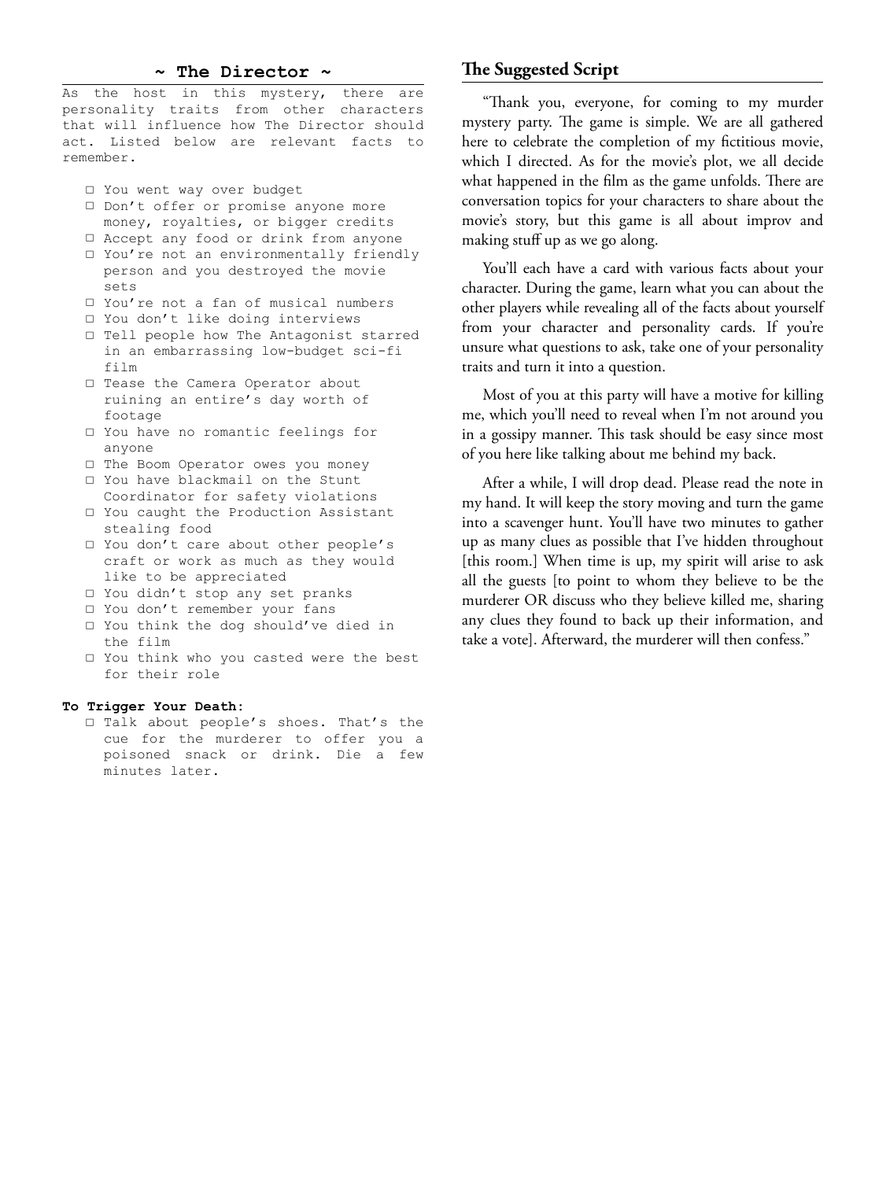# **~ The Director ~**

As the host in this mystery, there are personality traits from other characters that will influence how The Director should act. Listed below are relevant facts to remember.

- □ You went way over budget
- □ Don't offer or promise anyone more money, royalties, or bigger credits
- □ Accept any food or drink from anyone
- □ You're not an environmentally friendly person and you destroyed the movie sets
- □ You're not a fan of musical numbers
- □ You don't like doing interviews
- □ Tell people how The Antagonist starred in an embarrassing low-budget sci-fi film
- □ Tease the Camera Operator about ruining an entire's day worth of footage
- □ You have no romantic feelings for anyone
- □ The Boom Operator owes you money
- □ You have blackmail on the Stunt Coordinator for safety violations
- □ You caught the Production Assistant stealing food
- □ You don't care about other people's craft or work as much as they would like to be appreciated
- □ You didn't stop any set pranks
- □ You don't remember your fans
- □ You think the dog should've died in the film
- □ You think who you casted were the best for their role

#### **To Trigger Your Death:**

□ Talk about people's shoes. That's the cue for the murderer to offer you a poisoned snack or drink. Die a few minutes later.

# **The Suggested Script**

"Thank you, everyone, for coming to my murder mystery party. The game is simple. We are all gathered here to celebrate the completion of my fictitious movie, which I directed. As for the movie's plot, we all decide what happened in the film as the game unfolds. There are conversation topics for your characters to share about the movie's story, but this game is all about improv and making stuff up as we go along.

You'll each have a card with various facts about your character. During the game, learn what you can about the other players while revealing all of the facts about yourself from your character and personality cards. If you're unsure what questions to ask, take one of your personality traits and turn it into a question.

Most of you at this party will have a motive for killing me, which you'll need to reveal when I'm not around you in a gossipy manner. This task should be easy since most of you here like talking about me behind my back.

After a while, I will drop dead. Please read the note in my hand. It will keep the story moving and turn the game into a scavenger hunt. You'll have two minutes to gather up as many clues as possible that I've hidden throughout [this room.] When time is up, my spirit will arise to ask all the guests [to point to whom they believe to be the murderer OR discuss who they believe killed me, sharing any clues they found to back up their information, and take a vote]. Afterward, the murderer will then confess."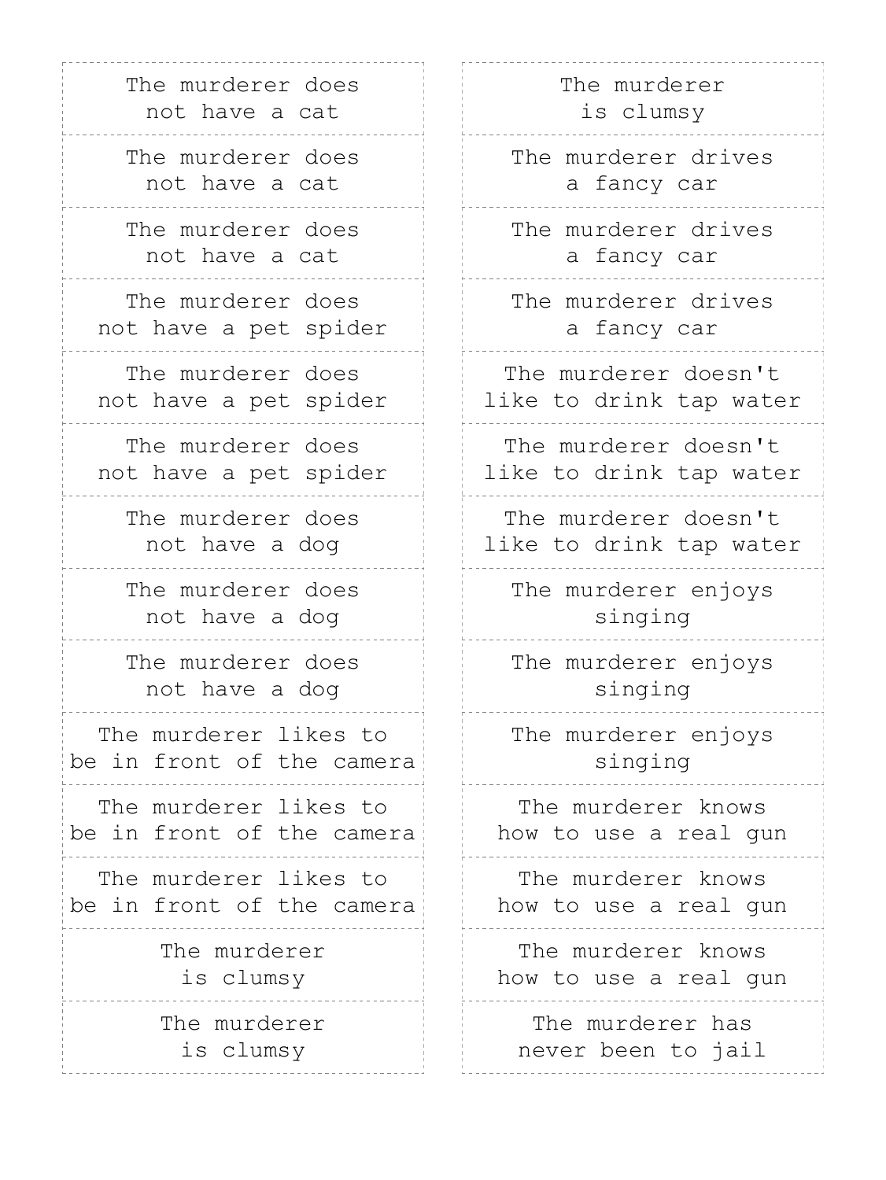| The murderer does<br>not have a cat                |    |
|----------------------------------------------------|----|
| The murderer does<br>not have a cat                |    |
| The murderer does<br>not have a cat                |    |
| The murderer does<br>not have a pet spider         |    |
| The murderer does<br>not have a pet spider         | 11 |
| The murderer does<br>not have a pet spider         | li |
| The murderer does<br>not have a dog                |    |
| The murderer does<br>not have a dog                |    |
| The murderer does<br>not have a dog                |    |
| The murderer likes to<br>be in front of the camera |    |
| The murderer likes to<br>be in front of the camera | h  |
| The murderer likes to<br>be in front of the camera | h  |
| The murderer<br>is clumsy                          | h  |
| The murderer<br>is clumsy                          |    |

# The murderer is clumsy

The murderer drives a fancy car

The murderer drives a fancy car

The murderer drives a fancy car

The murderer doesn't ke to drink tap water

The murderer doesn't ke to drink tap water

The murderer doesn't ke to drink tap water

The murderer enjoys singing

The murderer enjoys singing

The murderer enjoys singing

The murderer knows ow to use a real gun

The murderer knows ow to use a real gun

The murderer knows ow to use a real gun

The murderer has never been to jail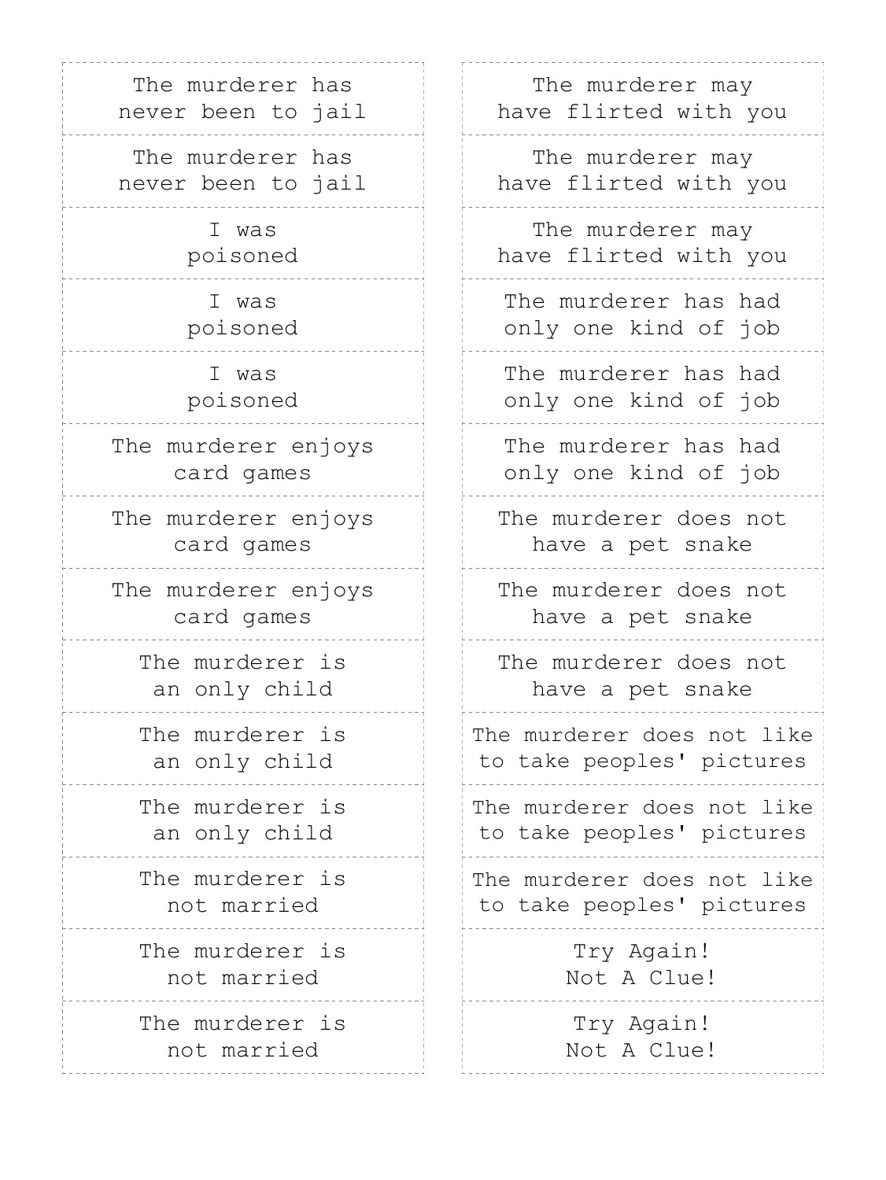| The murderer has    | The murderer may           |  |
|---------------------|----------------------------|--|
| never been to jail  | have flirted with you      |  |
| The murderer has    | The murderer may           |  |
| never been to jail  | have flirted with you      |  |
| I was               | The murderer may           |  |
| poisoned            | have flirted with you      |  |
| I was               | The murderer has had       |  |
| poisoned            | only one kind of job       |  |
| I was               | The murderer has had       |  |
| poisoned            | only one kind of job       |  |
| The murderer enjoys | The murderer has had       |  |
| card games          | only one kind of job       |  |
| The murderer enjoys | The murderer does not      |  |
| card games          | have a pet snake           |  |
| The murderer enjoys | The murderer does not      |  |
| card games          | have a pet snake           |  |
| The murderer is     | The murderer does not      |  |
| an only child       | have a pet snake           |  |
| The murderer is     | The murderer does not like |  |
| an only child       | to take peoples' pictures  |  |
| The murderer is     | The murderer does not like |  |
| an only child       | to take peoples' pictures  |  |
| The murderer is     | The murderer does not like |  |
| not married         | to take peoples' pictures  |  |
| The murderer is     | Try Again!                 |  |
| not married         | Not A Clue!                |  |
| The murderer is     | Try Again!                 |  |
| not married         | Not A Clue!                |  |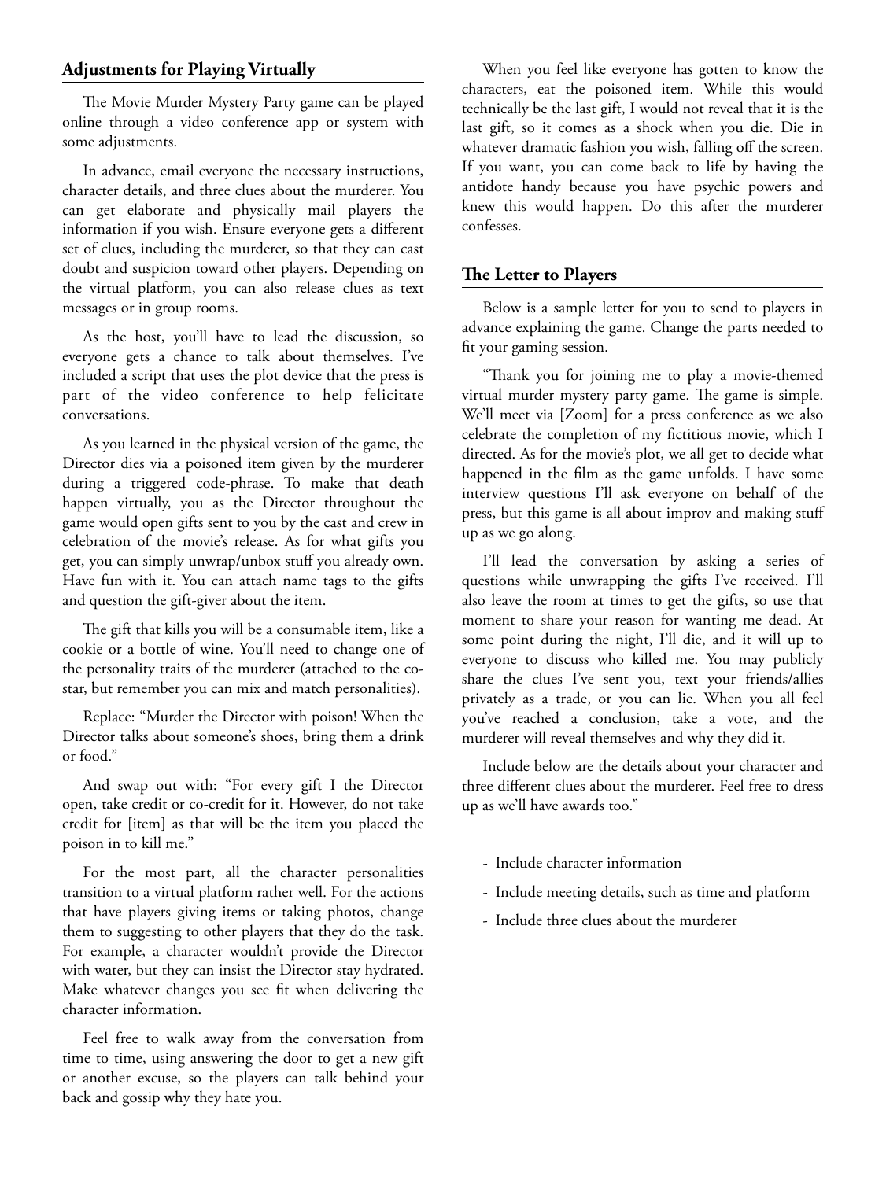# **Adjustments for Playing Virtually**

The Movie Murder Mystery Party game can be played online through a video conference app or system with some adjustments.

In advance, email everyone the necessary instructions, character details, and three clues about the murderer. You can get elaborate and physically mail players the information if you wish. Ensure everyone gets a different set of clues, including the murderer, so that they can cast doubt and suspicion toward other players. Depending on the virtual platform, you can also release clues as text messages or in group rooms.

As the host, you'll have to lead the discussion, so everyone gets a chance to talk about themselves. I've included a script that uses the plot device that the press is part of the video conference to help felicitate conversations.

As you learned in the physical version of the game, the Director dies via a poisoned item given by the murderer during a triggered code-phrase. To make that death happen virtually, you as the Director throughout the game would open gifts sent to you by the cast and crew in celebration of the movie's release. As for what gifts you get, you can simply unwrap/unbox stuff you already own. Have fun with it. You can attach name tags to the gifts and question the gift-giver about the item.

The gift that kills you will be a consumable item, like a cookie or a bottle of wine. You'll need to change one of the personality traits of the murderer (attached to the costar, but remember you can mix and match personalities).

Replace: "Murder the Director with poison! When the Director talks about someone's shoes, bring them a drink or food."

And swap out with: "For every gift I the Director open, take credit or co-credit for it. However, do not take credit for [item] as that will be the item you placed the poison in to kill me."

For the most part, all the character personalities transition to a virtual platform rather well. For the actions that have players giving items or taking photos, change them to suggesting to other players that they do the task. For example, a character wouldn't provide the Director with water, but they can insist the Director stay hydrated. Make whatever changes you see fit when delivering the character information.

Feel free to walk away from the conversation from time to time, using answering the door to get a new gift or another excuse, so the players can talk behind your back and gossip why they hate you.

When you feel like everyone has gotten to know the characters, eat the poisoned item. While this would technically be the last gift, I would not reveal that it is the last gift, so it comes as a shock when you die. Die in whatever dramatic fashion you wish, falling off the screen. If you want, you can come back to life by having the antidote handy because you have psychic powers and knew this would happen. Do this after the murderer confesses.

# **The Letter to Players**

Below is a sample letter for you to send to players in advance explaining the game. Change the parts needed to fit your gaming session.

"Thank you for joining me to play a movie-themed virtual murder mystery party game. The game is simple. We'll meet via [Zoom] for a press conference as we also celebrate the completion of my fictitious movie, which I directed. As for the movie's plot, we all get to decide what happened in the film as the game unfolds. I have some interview questions I'll ask everyone on behalf of the press, but this game is all about improv and making stuff up as we go along.

I'll lead the conversation by asking a series of questions while unwrapping the gifts I've received. I'll also leave the room at times to get the gifts, so use that moment to share your reason for wanting me dead. At some point during the night, I'll die, and it will up to everyone to discuss who killed me. You may publicly share the clues I've sent you, text your friends/allies privately as a trade, or you can lie. When you all feel you've reached a conclusion, take a vote, and the murderer will reveal themselves and why they did it.

Include below are the details about your character and three different clues about the murderer. Feel free to dress up as we'll have awards too."

- Include character information
- Include meeting details, such as time and platform
- Include three clues about the murderer